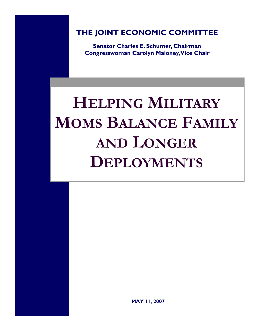**THE JOINT ECONOMIC COMMITTEE**

**Senator Charles E. Schumer, Chairman Congresswoman Carolyn Maloney, Vice Chair** 

# **HELPING MILITARY MOMS BALANCE FAMILY AND LONGER DEPLOYMENTS**

**MAY 11, 2007**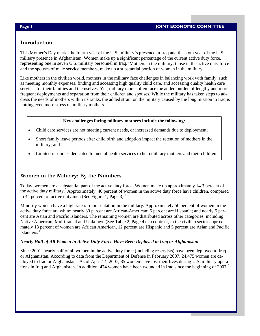## **Introduction**

This Mother's Day marks the fourth year of the U.S. military's presence in Iraq and the sixth year of the U.S. military presence in Afghanistan. Women make up a significant percentage of the current active duty force, representing one in seven U.S. military personnel in  $\text{Iraq}^1$ . Mothers in the military, those in the active duty force and the spouses of male service members, make up a substantial portion of women in the military.

Like mothers in the civilian world, mothers in the military face challenges in balancing work with family, such as meeting monthly expenses, finding and accessing high quality child care, and accessing quality health care services for their families and themselves. Yet, military moms often face the added burden of lengthy and more frequent deployments and separation from their children and spouses. While the military has taken steps to address the needs of mothers within its ranks, the added strain on the military caused by the long mission in Iraq is putting even more stress on military mothers.

#### **Key challenges facing military mothers include the following:**

- Child care services are not meeting current needs, or increased demands due to deployment;
- Short family leave periods after child birth and adoption impact the retention of mothers in the military; and
- Limited resources dedicated to mental health services to help military mothers and their children

# **Women in the Military: By the Numbers**

Today, women are a substantial part of the active duty force. Women make up approximately 14.3 percent of the active duty military.2 Approximately, 40 percent of women in the active duty force have children, compared to 44 percent of active duty men (See Figure 1, Page 3).<sup>3</sup>

Minority women have a high rate of representation in the military. Approximately 50 percent of women in the active duty force are white; nearly 30 percent are African-American; 6 percent are Hispanic; and nearly 5 percent are Asian and Pacific Islanders. The remaining women are distributed across other categories, including Native American, Multi-racial and Unknown (See Table 2, Page 4). In contrast, in the civilian sector approximately 13 percent of women are African American, 12 percent are Hispanic and 5 percent are Asian and Pacific Islanders.<sup>4</sup>

#### *Nearly Half of All Women in Active Duty Force Have Been Deployed to Iraq or Afghanistan*

Since 2001, nearly half of all women in the active duty force (including reservists) have been deployed to Iraq or Afghanistan. According to data from the Department of Defense in February 2007, 24,475 women are deployed to Iraq or Afghanistan.<sup>5</sup> As of April 14, 2007, 85 women have lost their lives during U.S. military operations in Iraq and Afghanistan. In addition, 474 women have been wounded in Iraq since the beginning of 2007.<sup>6</sup>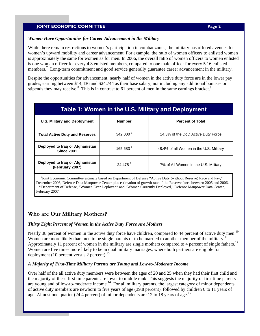#### **JOINT ECONOMIC COMMITTEE PAGE 2 Page 2**

#### *Women Have Opportunities for Career Advancement in the Military*

While there remain restrictions to women's participation in combat zones, the military has offered avenues for women's upward mobility and career advancement. For example, the ratio of women officers to enlisted women is approximately the same for women as for men. In 2006, the overall ratio of women officers to women enlisted is one woman officer for every 4.8 enlisted members, compared to one male officer for every 5.16 enlisted members.<sup>7</sup> Long-term commitment and good service generally guarantee career advancement in the military.

Despite the opportunities for advancement, nearly half of women in the active duty force are in the lower pay grades, earning between \$14,436 and \$24,744 as their base salary, not including any additional bonuses or stipends they may receive.<sup>8</sup> This is in contrast to 61 percent of men in the same earnings bracket.<sup>9</sup>

| Table 1: Women in the U.S. Military and Deployment   |                                          |                                         |  |  |  |  |  |  |
|------------------------------------------------------|------------------------------------------|-----------------------------------------|--|--|--|--|--|--|
| <b>U.S. Military and Deployment</b>                  | <b>Number</b><br><b>Percent of Total</b> |                                         |  |  |  |  |  |  |
| <b>Total Active Duty and Reserves</b>                | $342,000^1$                              | 14.3% of the DoD Active Duty Force      |  |  |  |  |  |  |
| Deployed to Iraq or Afghanistan<br><b>Since 2001</b> | 165,683 <sup>2</sup>                     | 48.4% of all Women in the U.S. Military |  |  |  |  |  |  |
| Deployed to Iraq or Afghanistan<br>(February 2007)   | 24,475 <sup>2</sup>                      | 7% of All Women in the U.S. Military    |  |  |  |  |  |  |

<sup>1</sup>Joint Economic Committee estimate based on Department of Defense "Active Duty (without Reserve) Race and Pay," December 2006, Defense Data Manpower Center plus estimation of growth rate of the Reserve force between 2005 and 2006.<br><sup>2</sup> Department of Defense, "Women Ever Deployed" and "Women Currently Deployed," Defense Manpower Data February 2007.

# **Who are Our Military Mothers?**

#### *Thirty Eight Percent of Women in the Active Duty Force Are Mothers*

Nearly 38 percent of women in the active duty force have children, compared to 44 percent of active duty men.<sup>10</sup> Women are more likely than men to be single parents or to be married to another member of the military. Approximately 11 percent of women in the military are single mothers compared to 4 percent of single fathers.<sup>12</sup> Women are five times more likely to be in dual military marriages, where both partners are eligible for deployment (10 percent versus 2 percent). $^{13}$ 

#### *A Majority of First-Time Military Parents are Young and Low-to-Moderate Income*

Over half of the all active duty members were between the ages of 20 and 25 when they had their first child and the majority of these first time parents are lower to middle rank. This suggests the majority of first time parents are young and of low-to-moderate income.<sup>14</sup> For all military parents, the largest category of minor dependents of active duty members are newborn to five years of age (39.8 percent), followed by children 6 to 11 years of age. Almost one quarter (24.4 percent) of minor dependents are 12 to 18 years of age.<sup>15</sup>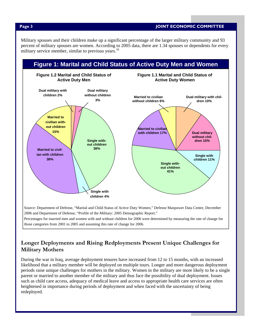**Page 3 JOINT ECONOMIC COMMITTEE** 

Military spouses and their children make up a significant percentage of the larger military community and 93 percent of military spouses are women. According to 2005 data, there are 1.34 spouses or dependents for every military service member, similar to previous years.<sup>16</sup>



# **Longer Deployments and Rising Redployments Present Unique Challenges for Military Mothers**

During the war in Iraq, average deployment tenures have increased from 12 to 15 months, with an increased likelihood that a military member will be deployed on multiple tours. Longer and more dangerous deployment periods raise unique challenges for mothers in the military. Women in the military are more likely to be a single parent or married to another member of the military and thus face the possibility of dual deployment. Issues such as child care access, adequacy of medical leave and access to appropriate health care services are often heightened in importance during periods of deployment and when faced with the uncertainty of being redeployed.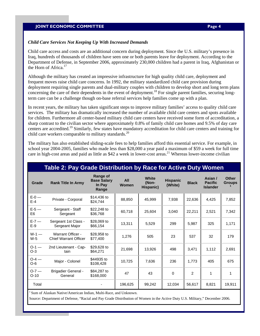### **JOINT ECONOMIC COMMITTEE PAGE 1 2008 12 AND 100 AND 100 AND 100 AND 100 AND 100 AND 100 AND 100 AND 100 AND 100 AND 100 AND 100 AND 100 AND 100 AND 100 AND 100 AND 100 AND 100 AND 100 AND 100 AND 100 AND 100 AND 100 AND 1**

#### *Child Care Services Not Keeping Up With Increased Demands*

Child care access and costs are an additional concern during deployment. Since the U.S. military's presence in Iraq, hundreds of thousands of children have seen one or both parents leave for deployment. According to the Department of Defense, in September 2006, approximately 230,000 children had a parent in Iraq, Afghanistan or the Horn of Africa.<sup>17</sup>

Although the military has created an impressive infrastructure for high quality child care, deployment and frequent moves raise child care concerns. In 1992, the military standardized child care provision during deployment requiring single parents and dual-military couples with children to develop short and long term plans concerning the care of their dependents in the event of deployment.<sup>18</sup> For single parent families, securing longterm care can be a challenge though on-base referral services help families come up with a plan.

In recent years, the military has taken significant steps to improve military families' access to quality child care services. The military has dramatically increased the number of available child care centers and spots available for children. Furthermore all center-based military child care centers have received some form of accreditation, a sharp contrast to the civilian sector where approximately 0.8% of family child care homes and 9.5% of day care centers are accredited.19 Similarly, few states have mandatory accreditation for child care centers and training for child care workers comparable to military standards.<sup>20</sup>

The military has also established sliding-scale fees to help families afford this essential service. For example, in school year 2004-2005, families who made less than \$28,000 a year paid a maximum of \$59 a week for full time care in high-cost areas and paid as little as \$42 a week in lower-cost areas.<sup>21</sup> Whereas lower-income civilian

| Table 2: Pay Grade Distribution by Race for Active Duty Women                                                                                                                                   |                                                          |                                                   |                     |                                    |                            |              |                                              |                               |  |  |
|-------------------------------------------------------------------------------------------------------------------------------------------------------------------------------------------------|----------------------------------------------------------|---------------------------------------------------|---------------------|------------------------------------|----------------------------|--------------|----------------------------------------------|-------------------------------|--|--|
| Grade                                                                                                                                                                                           | <b>Rank Title In Army</b>                                | Range of<br><b>Base Salary</b><br>In Pay<br>Range | <b>All</b><br>Women | <b>White</b><br>(Non-<br>Hispanic) | <b>Hispanic</b><br>(White) | <b>Black</b> | Asian /<br><b>Pacific</b><br><b>Islander</b> | <b>Other</b><br><b>Groups</b> |  |  |
| $E-0$ —<br>$E-4$                                                                                                                                                                                | Private - Corporal                                       | \$14,436 to<br>\$24.744                           | 88.850              | 45.999                             | 7,938                      | 22,636       | 4,425                                        | 7,852                         |  |  |
| $E-5-$<br>E <sub>6</sub>                                                                                                                                                                        | Sergeant - Staff<br>Sergeant                             | \$22,248 to<br>\$36,768                           | 60.718              | 25.604                             | 3,040                      | 22,211       | 2,521                                        | 7,342                         |  |  |
| $E-7-$<br>$E-9$                                                                                                                                                                                 | Sergeant 1st Class -<br>Sergeant Major                   | \$28,069 to<br>\$66,154                           | 13.311              | 5,529                              | 299                        | 5,987        | 325                                          | 1,171                         |  |  |
| $W-1$ –<br>$W-5$                                                                                                                                                                                | <b>Warrant Officer -</b><br><b>Chief Warrant Officer</b> | \$28,958 to<br>\$77,400                           | 1,276               | 505                                | 23                         | 537          | 32                                           | 179                           |  |  |
| $O-1$ —<br>$O-3$                                                                                                                                                                                | 2nd Lieutenant - Cap-<br>tain                            | \$29,628 to<br>\$64,271                           | 21,698              | 13,926                             | 498                        | 3,471        | 1,112                                        | 2,691                         |  |  |
| $O - 4 -$<br>$O-6$                                                                                                                                                                              | Major - Colonel                                          | \$44935 to<br>\$108,428                           | 10,725              | 7,636                              | 236                        | 1,773        | 405                                          | 675                           |  |  |
| $O-7-$<br>$O-10$                                                                                                                                                                                | <b>Brigadier General -</b><br>General                    | \$84,287 to<br>\$168,000                          | 47                  | 43                                 | $\Omega$                   | 2            | 1                                            | 1                             |  |  |
| Total                                                                                                                                                                                           |                                                          |                                                   | 196,625             | 99,242                             | 12,034                     | 56,617       | 8,821                                        | 19,911                        |  |  |
| Sum of Alaskan Native/American Indian, Multi-Race, and Unknown.<br>Source: Department of Defense, "Racial and Pay Grade Distribution of Women in the Active Duty U.S. Military," December 2006. |                                                          |                                                   |                     |                                    |                            |              |                                              |                               |  |  |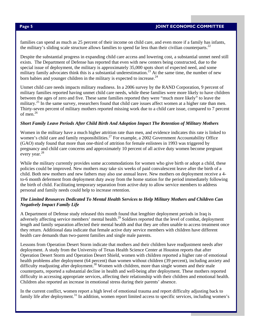families can spend as much as 25 percent of their income on child care, and even more if a family has infants, the military's sliding scale structure allows families to spend far less than their civilian counterparts.<sup>22</sup>

Despite the substantial progress in expanding child care access and lowering cost, a substantial unmet need still exists. The Department of Defense has reported that even with new centers being constructed, due to the special issue of deployment, the military is approximately 35,000 spots short of expected need, and some military family advocates think this is a substantial underestimation.<sup>23</sup> At the same time, the number of new born babies and younger children in the military is expected to increase.  $24$ 

Unmet child care needs impacts military readiness. In a 2006 survey by the RAND Corporation, 9 percent of military families reported having unmet child care needs, while these families were more likely to have children between the ages of zero and five. These same families reported they were "much more likely" to leave the military.<sup>25</sup> In the same survey, researchers found that child care issues affect women at a higher rate than men. Thirty-seven percent of military mothers reported missing work due to a child care issue, compared to 7 percent of men.26

### *Short Family Leave Periods After Child Birth And Adoption Impact The Retention of Military Mothers*

Women in the military have a much higher attrition rate than men, and evidence indicates this rate is linked to women's child care and family responsibilities.<sup>27</sup> For example, a 2002 Government Accountability Office (GAO) study found that more than one-third of attrition for female enlistees in 1993 was triggered by pregnancy and child care concerns and approximately 10 percent of all active duty women become pregnant every year.<sup>28</sup>

While the military currently provides some accommodations for women who give birth or adopt a child, these policies could be improved. New mothers may take six weeks of paid convalescent leave after the birth of a child. Both new mothers and new fathers may also use annual leave. New mothers on deployment receive a 4 to-6 month deferment from deployment duty away from the home station for the period immediately following the birth of child. Facilitating temporary separation from active duty to allow service members to address personal and family needs could help to increase retention.

#### *The Limited Resources Dedicated To Mental Health Services to Help Military Mothers and Children Can Negatively Impact Family Life*

A Department of Defense study released this month found that lengthier deployment periods in Iraq is adversely affecting service members' mental health.<sup>29</sup> Soldiers reported that the level of combat, deployment length and family separation affected their mental health and that they are often unable to access treatment once they return. Additional data indicate that female active duty service members with children have different health care demands than two-parent families and single male parents.

Lessons from Operation Desert Storm indicate that mothers and their children have readjustment needs after deployment. A study from the University of Texas Health Science Center at Houston reports that after Operation Desert Storm and Operation Desert Shield, women with children reported a higher rate of emotional health problems after deployment (64 percent) than women without children (39 percent), including anxiety and difficulty readjusting after deployment.<sup>30</sup> Women with children, more than single women and their male counterparts, reported a substantial decline in health and well-being after deployment. These mothers reported difficulty in accessing appropriate services, affecting their relationship with their children and emotional health. Children also reported an increase in emotional stress during their parents' absence.

In the current conflict, women report a high level of emotional trauma and report difficulty adjusting back to family life after deployment.<sup>31</sup> In addition, women report limited access to specific services, including women's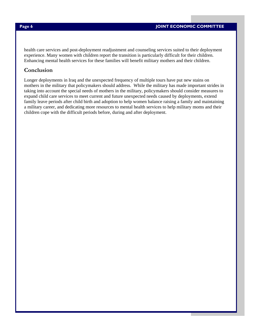health care services and post-deployment readjustment and counseling services suited to their deployment experience. Many women with children report the transition is particularly difficult for their children. Enhancing mental health services for these families will benefit military mothers and their children.

## **Conclusion**

Longer deployments in Iraq and the unexpected frequency of multiple tours have put new stains on mothers in the military that policymakers should address. While the military has made important strides in taking into account the special needs of mothers in the military, policymakers should consider measures to expand child care services to meet current and future unexpected needs caused by deployments, extend family leave periods after child birth and adoption to help women balance raising a family and maintaining a military career, and dedicating more resources to mental health services to help military moms and their children cope with the difficult periods before, during and after deployment.